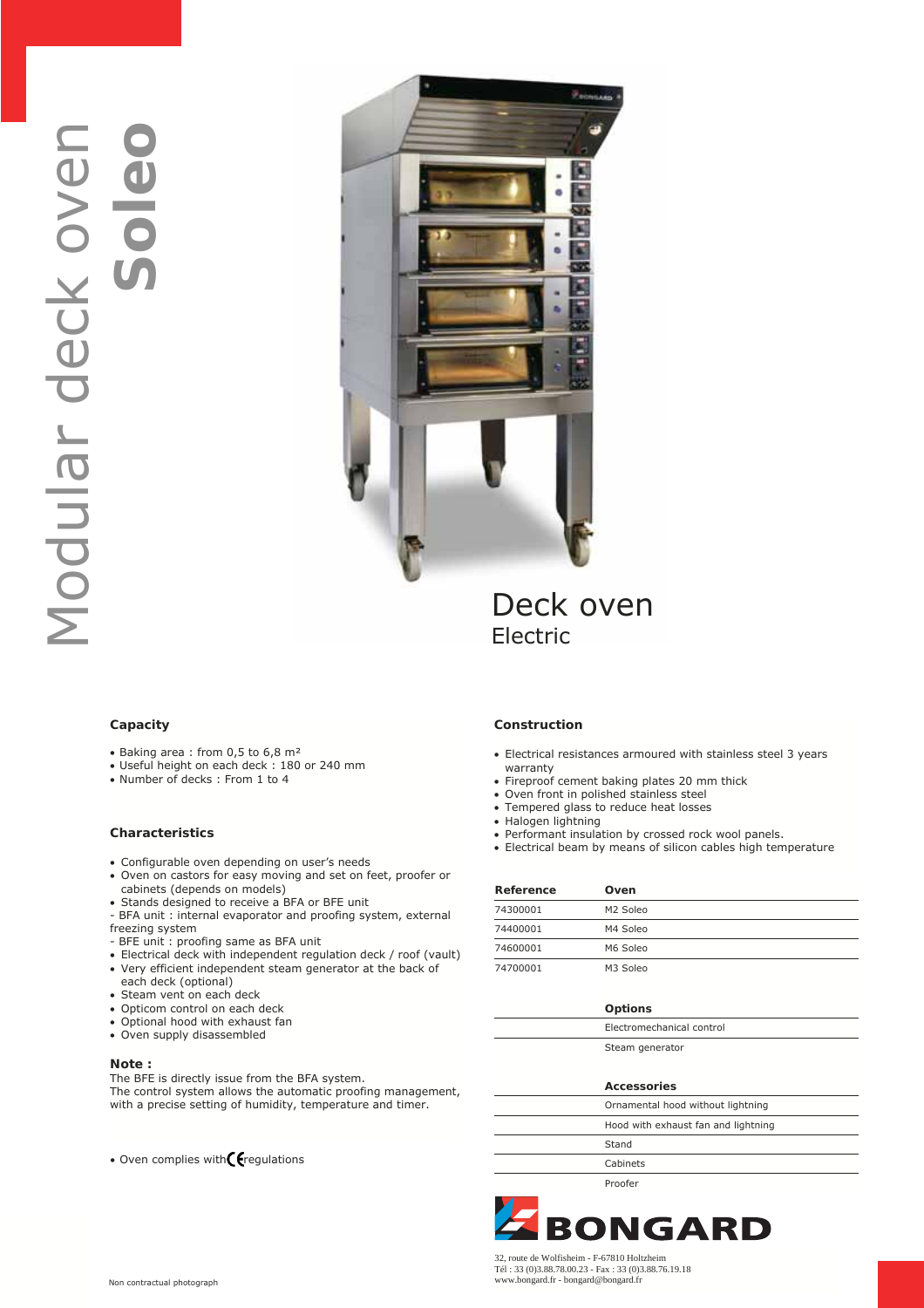

# Deck oven Electric

## **Capacity**

- Baking area : from 0,5 to 6,8 m²
- Useful height on each deck : 180 or 240 mm
- Number of decks : From 1 to 4

## **Characteristics**

- Configurable oven depending on user's needs
- Oven on castors for easy moving and set on feet, proofer or cabinets (depends on models)
- Stands designed to receive a BFA or BFE unit
- BFA unit : internal evaporator and proofing system, external freezing system
- BFE unit : proofing same as BFA unit
- Electrical deck with independent regulation deck / roof (vault)
- Very efficient independent steam generator at the back of
- each deck (optional)
- Steam vent on each deck
- Opticom control on each deck
- Optional hood with exhaust fan
- Oven supply disassembled

#### **Note :**

The BFE is directly issue from the BFA system. The control system allows the automatic proofing management, with a precise setting of humidity, temperature and timer.

• Oven complies with $\epsilon$  regulations

### **Construction**

- Electrical resistances armoured with stainless steel 3 years warranty
- Fireproof cement baking plates 20 mm thick
- Oven front in polished stainless steel
- Tempered glass to reduce heat losses
- Halogen lightning
- Performant insulation by crossed rock wool panels.
- Electrical beam by means of silicon cables high temperature

| Reference | Oven                 |
|-----------|----------------------|
| 74300001  | M <sub>2</sub> Soleo |
| 74400001  | M4 Soleo             |
| 74600001  | M6 Soleo             |
| 74700001  | M <sub>3</sub> Soleo |

#### **Options**

| Electromechanical control |
|---------------------------|
|                           |

## Steam generator

| <b>Accessories</b>                  |
|-------------------------------------|
| Ornamental hood without lightning   |
| Hood with exhaust fan and lightning |
| Stand                               |
| Cabinets                            |
|                                     |

Proofer